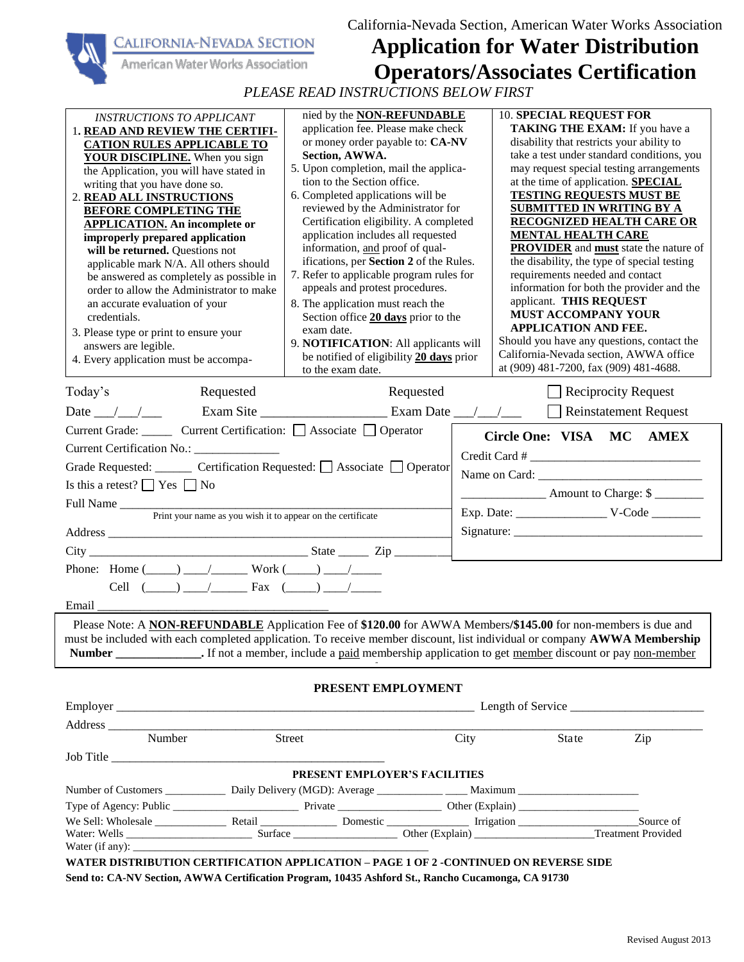California-Nevada Section, American Water Works Association

| 'alifornia-Nevada Section |
|---------------------------|
|---------------------------|



## **Application for Water Distribution Operators/Associates Certification**

*PLEASE READ INSTRUCTIONS BELOW FIRST*

| <i><b>INSTRUCTIONS TO APPLICANT</b></i>                                                                                              | nied by the <b>NON-REFUNDABLE</b><br>application fee. Please make check                   |      | <b>10. SPECIAL REQUEST FOR</b><br>TAKING THE EXAM: If you have a                                   |                            |
|--------------------------------------------------------------------------------------------------------------------------------------|-------------------------------------------------------------------------------------------|------|----------------------------------------------------------------------------------------------------|----------------------------|
| 1. READ AND REVIEW THE CERTIFI-                                                                                                      | or money order payable to: CA-NV                                                          |      | disability that restricts your ability to                                                          |                            |
| <b>CATION RULES APPLICABLE TO</b><br>YOUR DISCIPLINE. When you sign                                                                  | Section, AWWA.                                                                            |      | take a test under standard conditions, you                                                         |                            |
| the Application, you will have stated in                                                                                             | 5. Upon completion, mail the applica-                                                     |      | may request special testing arrangements                                                           |                            |
| writing that you have done so.                                                                                                       | tion to the Section office.                                                               |      | at the time of application. <b>SPECIAL</b>                                                         |                            |
| 2. READ ALL INSTRUCTIONS                                                                                                             | 6. Completed applications will be                                                         |      | <b>TESTING REQUESTS MUST BE</b>                                                                    |                            |
| <b>BEFORE COMPLETING THE</b>                                                                                                         | reviewed by the Administrator for                                                         |      | SUBMITTED IN WRITING BY A                                                                          |                            |
| <b>APPLICATION.</b> An incomplete or                                                                                                 | Certification eligibility. A completed                                                    |      | <b>RECOGNIZED HEALTH CARE OR</b>                                                                   |                            |
| improperly prepared application                                                                                                      | application includes all requested                                                        |      | <b>MENTAL HEALTH CARE</b>                                                                          |                            |
| will be returned. Questions not                                                                                                      | information, and proof of qual-<br>ifications, per Section 2 of the Rules.                |      | <b>PROVIDER</b> and <b>must</b> state the nature of<br>the disability, the type of special testing |                            |
| applicable mark N/A. All others should                                                                                               | 7. Refer to applicable program rules for                                                  |      | requirements needed and contact                                                                    |                            |
| be answered as completely as possible in<br>order to allow the Administrator to make                                                 | appeals and protest procedures.                                                           |      | information for both the provider and the                                                          |                            |
| an accurate evaluation of your                                                                                                       | 8. The application must reach the                                                         |      | applicant. THIS REQUEST                                                                            |                            |
| credentials.                                                                                                                         | Section office 20 days prior to the                                                       |      | <b>MUST ACCOMPANY YOUR</b>                                                                         |                            |
| 3. Please type or print to ensure your                                                                                               | exam date.                                                                                |      | <b>APPLICATION AND FEE.</b>                                                                        |                            |
| answers are legible.                                                                                                                 | 9. NOTIFICATION: All applicants will                                                      |      | Should you have any questions, contact the                                                         |                            |
| 4. Every application must be accompa-                                                                                                | be notified of eligibility 20 days prior                                                  |      | California-Nevada section, AWWA office                                                             |                            |
|                                                                                                                                      | to the exam date.                                                                         |      | at (909) 481-7200, fax (909) 481-4688.                                                             |                            |
| Today's<br>Requested                                                                                                                 | Requested                                                                                 |      |                                                                                                    | $\Box$ Reciprocity Request |
| Date $\_\_\_\_\_\_\_\_\_\_\$                                                                                                         |                                                                                           |      |                                                                                                    | Reinstatement Request      |
| Current Grade: Current Certification: △ Associate △ Operator                                                                         |                                                                                           |      | Circle One: VISA MC                                                                                | <b>AMEX</b>                |
| Current Certification No.: _____________                                                                                             |                                                                                           |      |                                                                                                    |                            |
| Grade Requested: _______ Certification Requested: □ Associate □ Operator                                                             |                                                                                           |      |                                                                                                    |                            |
| Is this a retest? $\Box$ Yes $\Box$ No                                                                                               |                                                                                           |      |                                                                                                    |                            |
|                                                                                                                                      |                                                                                           |      | _______________________ Amount to Charge: \$                                                       |                            |
|                                                                                                                                      |                                                                                           |      |                                                                                                    |                            |
|                                                                                                                                      |                                                                                           |      |                                                                                                    |                            |
| Address                                                                                                                              |                                                                                           |      |                                                                                                    |                            |
|                                                                                                                                      |                                                                                           |      |                                                                                                    |                            |
| Phone: Home $(\_\_)$ $\_\_/$ Work $(\_\_)$ $\_\_/$                                                                                   |                                                                                           |      |                                                                                                    |                            |
| Cell $(\_\_) \_\_/$ Fax $(\_\_) \_\_/$                                                                                               |                                                                                           |      |                                                                                                    |                            |
|                                                                                                                                      |                                                                                           |      |                                                                                                    |                            |
|                                                                                                                                      |                                                                                           |      |                                                                                                    |                            |
| Please Note: A NON-REFUNDABLE Application Fee of \$120.00 for AWWA Members/\$145.00 for non-members is due and                       |                                                                                           |      |                                                                                                    |                            |
| must be included with each completed application. To receive member discount, list individual or company AWWA Membership             |                                                                                           |      |                                                                                                    |                            |
| Number ______________. If not a member, include a <u>paid</u> membership application to get <u>member</u> discount or pay non-member | the control of the control of the control of the control of the control of the control of |      |                                                                                                    |                            |
|                                                                                                                                      |                                                                                           |      |                                                                                                    |                            |
|                                                                                                                                      | PRESENT EMPLOYMENT                                                                        |      |                                                                                                    |                            |
|                                                                                                                                      |                                                                                           |      |                                                                                                    |                            |
|                                                                                                                                      |                                                                                           |      |                                                                                                    |                            |
| Number                                                                                                                               | Street                                                                                    | City | State Zip                                                                                          |                            |
|                                                                                                                                      |                                                                                           |      |                                                                                                    |                            |
|                                                                                                                                      | PRESENT EMPLOYER'S FACILITIES                                                             |      |                                                                                                    |                            |
|                                                                                                                                      |                                                                                           |      |                                                                                                    |                            |
|                                                                                                                                      |                                                                                           |      |                                                                                                    |                            |
|                                                                                                                                      |                                                                                           |      |                                                                                                    |                            |
|                                                                                                                                      |                                                                                           |      |                                                                                                    |                            |
|                                                                                                                                      |                                                                                           |      |                                                                                                    |                            |
| WATER DISTRIBUTION CERTIFICATION APPLICATION - PAGE 1 OF 2 -CONTINUED ON REVERSE SIDE                                                |                                                                                           |      |                                                                                                    |                            |

**Send to: CA-NV Section, AWWA Certification Program, 10435 Ashford St., Rancho Cucamonga, CA 91730**